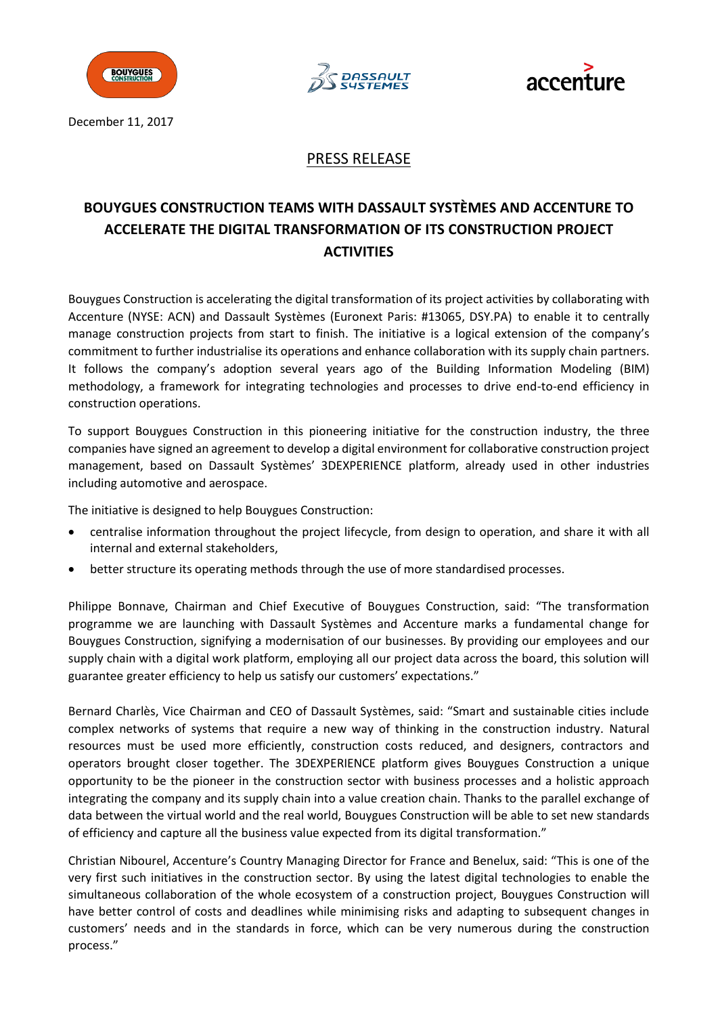





December 11, 2017

## PRESS RELEASE

# **BOUYGUES CONSTRUCTION TEAMS WITH DASSAULT SYSTÈMES AND ACCENTURE TO ACCELERATE THE DIGITAL TRANSFORMATION OF ITS CONSTRUCTION PROJECT ACTIVITIES**

Bouygues Construction is accelerating the digital transformation of its project activities by collaborating with Accenture (NYSE: ACN) and Dassault Systèmes (Euronext Paris: #13065, DSY.PA) to enable it to centrally manage construction projects from start to finish. The initiative is a logical extension of the company's commitment to further industrialise its operations and enhance collaboration with its supply chain partners. It follows the company's adoption several years ago of the Building Information Modeling (BIM) methodology, a framework for integrating technologies and processes to drive end-to-end efficiency in construction operations.

To support Bouygues Construction in this pioneering initiative for the construction industry, the three companies have signed an agreement to develop a digital environment for collaborative construction project management, based on Dassault Systèmes' 3DEXPERIENCE platform, already used in other industries including automotive and aerospace.

The initiative is designed to help Bouygues Construction:

- centralise information throughout the project lifecycle, from design to operation, and share it with all internal and external stakeholders,
- better structure its operating methods through the use of more standardised processes.

Philippe Bonnave, Chairman and Chief Executive of Bouygues Construction, said: "The transformation programme we are launching with Dassault Systèmes and Accenture marks a fundamental change for Bouygues Construction, signifying a modernisation of our businesses. By providing our employees and our supply chain with a digital work platform, employing all our project data across the board, this solution will guarantee greater efficiency to help us satisfy our customers' expectations."

Bernard Charlès, Vice Chairman and CEO of Dassault Systèmes, said: "Smart and sustainable cities include complex networks of systems that require a new way of thinking in the construction industry. Natural resources must be used more efficiently, construction costs reduced, and designers, contractors and operators brought closer together. The 3DEXPERIENCE platform gives Bouygues Construction a unique opportunity to be the pioneer in the construction sector with business processes and a holistic approach integrating the company and its supply chain into a value creation chain. Thanks to the parallel exchange of data between the virtual world and the real world, Bouygues Construction will be able to set new standards of efficiency and capture all the business value expected from its digital transformation."

Christian Nibourel, Accenture's Country Managing Director for France and Benelux, said: "This is one of the very first such initiatives in the construction sector. By using the latest digital technologies to enable the simultaneous collaboration of the whole ecosystem of a construction project, Bouygues Construction will have better control of costs and deadlines while minimising risks and adapting to subsequent changes in customers' needs and in the standards in force, which can be very numerous during the construction process."